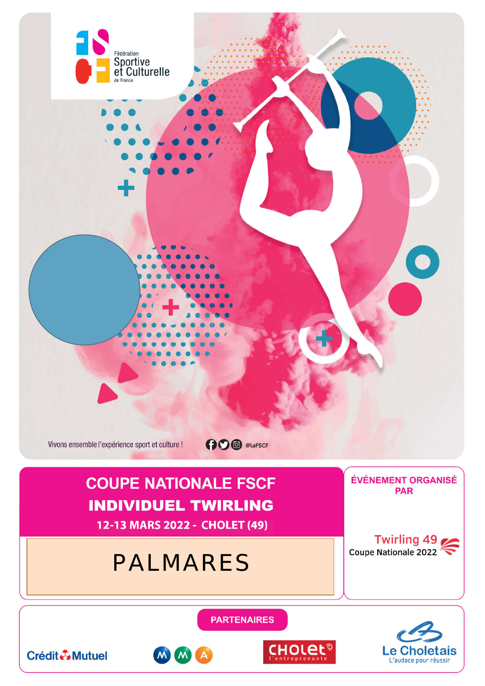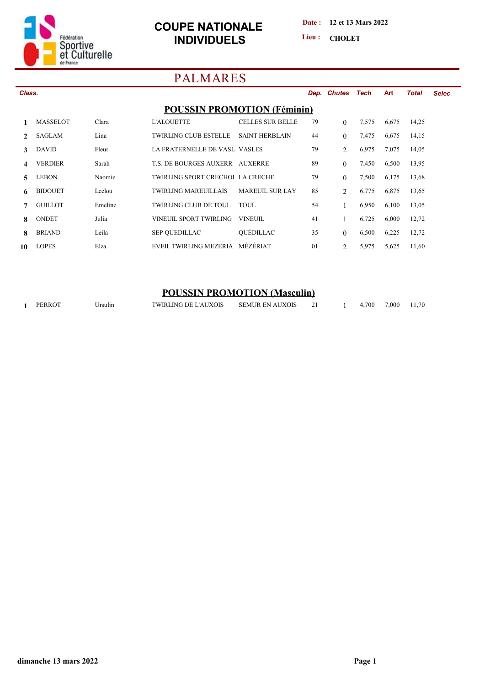

**Date : 12 et 13 Mars 2022**

Lieu : CHOLET

# **PALMARES**

| Class.        |                 |         |                                      |                         |    | Dep. Chutes Tech |       | <b>Art</b> | <b>Total</b> | <b>Selec</b> |
|---------------|-----------------|---------|--------------------------------------|-------------------------|----|------------------|-------|------------|--------------|--------------|
|               |                 |         | <b>POUSSIN PROMOTION (Féminin)</b>   |                         |    |                  |       |            |              |              |
|               | <b>MASSELOT</b> | Clara   | <b>L'ALOUETTE</b>                    | <b>CELLES SUR BELLE</b> | 79 | $\Omega$         | 7,575 | 6,675      | 14,25        |              |
| $\mathcal{L}$ | <b>SAGLAM</b>   | Lina    | <b>TWIRLING CLUB ESTELLE</b>         | <b>SAINT HERBLAIN</b>   | 44 | $\mathbf{0}$     | 7,475 | 6,675      | 14,15        |              |
| 3             | <b>DAVID</b>    | Fleur   | <b>LA FRATERNELLE DE VASL VASLES</b> |                         | 79 | $\overline{2}$   | 6,975 | 7,075      | 14,05        |              |
| 4             | <b>VERDIER</b>  | Sarah   | T.S. DE BOURGES AUXERR AUXERRE       |                         | 89 | $\theta$         | 7,450 | 6,500      | 13,95        |              |
| 5.            | LEBON           | Naomie  | TWIRLING SPORT CRECHOL LA CRECHE     |                         | 79 | $\theta$         | 7,500 | 6,175      | 13,68        |              |
| 6             | <b>BIDOUET</b>  | Leelou  | <b>TWIRLING MAREUILLAIS</b>          | <b>MAREUIL SUR LAY</b>  | 85 | $\overline{2}$   | 6.775 | 6,875      | 13,65        |              |
|               | <b>GUILLOT</b>  | Emeline | <b>TWIRLING CLUB DE TOUL</b>         | TOUL.                   | 54 |                  | 6,950 | 6,100      | 13,05        |              |
| 8             | <b>ONDET</b>    | Julia   | VINEUIL SPORT TWIRLING               | VINEUIL                 | 41 |                  | 6,725 | 6,000      | 12,72        |              |
| 8             | <b>BRIAND</b>   | Leila   | <b>SEP OUEDILLAC</b>                 | QUÉDILLAC               | 35 | $\Omega$         | 6,500 | 6,225      | 12,72        |              |
| 10            | <b>LOPES</b>    | Elza    | EVEIL TWIRLING MEZERIA               | MÉZÉRIAT                | 01 | 2                | 5,975 | 5,625      | 11,60        |              |
|               |                 |         |                                      |                         |    |                  |       |            |              |              |

### **POUSSIN PROMOTION (Masculin)**

|  | <b>PERROT</b> | ∍rsulın | TWIRLING DE L'AUXOIS | <b>SEMUR EN AUXOIS</b> |  |  | .700 | 7.000 | 1.70 |
|--|---------------|---------|----------------------|------------------------|--|--|------|-------|------|
|--|---------------|---------|----------------------|------------------------|--|--|------|-------|------|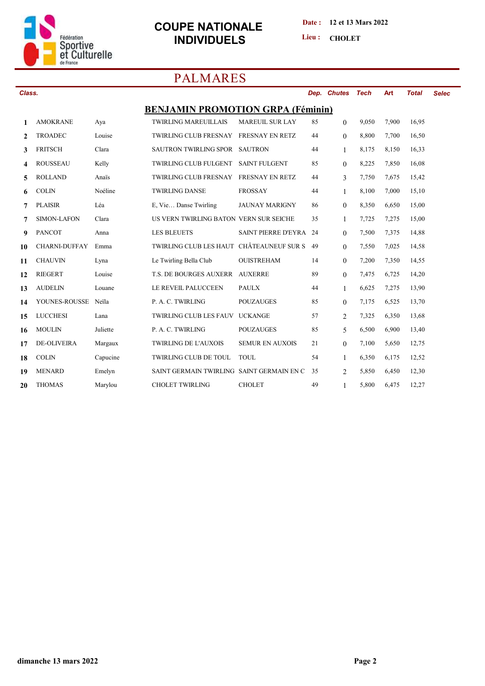

#### **Date : 12 et 13 Mars 2022**

Lieu : **CHOLET** 

# **PALMARES**

| Class.       |                      |          |                                           |                        |     | Dep. Chutes    | Tech  | Art   | <b>Total</b> | <b>Selec</b> |
|--------------|----------------------|----------|-------------------------------------------|------------------------|-----|----------------|-------|-------|--------------|--------------|
|              |                      |          | <b>BENJAMIN PROMOTION GRPA (Féminin)</b>  |                        |     |                |       |       |              |              |
| 1            | <b>AMOKRANE</b>      | Aya      | <b>TWIRLING MAREUILLAIS</b>               | <b>MAREUIL SUR LAY</b> | 85  | $\mathbf{0}$   | 9.050 | 7,900 | 16,95        |              |
| $\mathbf{2}$ | <b>TROADEC</b>       | Louise   | <b>TWIRLING CLUB FRESNAY</b>              | <b>FRESNAY EN RETZ</b> | 44  | $\overline{0}$ | 8,800 | 7,700 | 16,50        |              |
| 3            | <b>FRITSCH</b>       | Clara    | SAUTRON TWIRLING SPOR SAUTRON             |                        | 44  | $\mathbf{1}$   | 8,175 | 8,150 | 16,33        |              |
| 4            | <b>ROUSSEAU</b>      | Kelly    | TWIRLING CLUB FULGENT                     | <b>SAINT FULGENT</b>   | 85  | $\overline{0}$ | 8,225 | 7,850 | 16,08        |              |
| 5            | <b>ROLLAND</b>       | Anaïs    | <b>TWIRLING CLUB FRESNAY</b>              | FRESNAY EN RETZ        | 44  | $\overline{3}$ | 7,750 | 7,675 | 15,42        |              |
| 6            | <b>COLIN</b>         | Noéline  | <b>TWIRLING DANSE</b>                     | <b>FROSSAY</b>         | 44  | $\mathbf{1}$   | 8,100 | 7,000 | 15,10        |              |
| 7            | <b>PLAISIR</b>       | Léa      | E, Vie Danse Twirling                     | <b>JAUNAY MARIGNY</b>  | 86  | $\Omega$       | 8,350 | 6,650 | 15,00        |              |
| 7            | <b>SIMON-LAFON</b>   | Clara    | US VERN TWIRLING BATON VERN SUR SEICHE    |                        | 35  | 1              | 7,725 | 7,275 | 15,00        |              |
| 9            | <b>PANCOT</b>        | Anna     | <b>LES BLEUETS</b>                        | SAINT PIERRE D'EYRA    | -24 | $\overline{0}$ | 7,500 | 7,375 | 14,88        |              |
| 10           | <b>CHARNI-DUFFAY</b> | Emma     | TWIRLING CLUB LES HAUT CHÂTEAUNEUF SUR S  |                        | 49  | $\theta$       | 7,550 | 7,025 | 14,58        |              |
| 11           | <b>CHAUVIN</b>       | Lyna     | Le Twirling Bella Club                    | <b>OUISTREHAM</b>      | 14  | $\overline{0}$ | 7,200 | 7,350 | 14,55        |              |
| 12           | <b>RIEGERT</b>       | Louise   | <b>T.S. DE BOURGES AUXERR</b>             | <b>AUXERRE</b>         | 89  | $\overline{0}$ | 7,475 | 6,725 | 14,20        |              |
| 13           | <b>AUDELIN</b>       | Louane   | LE REVEIL PALUCCEEN                       | <b>PAULX</b>           | 44  | $\mathbf{1}$   | 6,625 | 7,275 | 13,90        |              |
| 14           | YOUNES-ROUSSE        | Neila    | P. A. C. TWIRLING                         | <b>POUZAUGES</b>       | 85  | $\Omega$       | 7,175 | 6,525 | 13,70        |              |
| 15           | <b>LUCCHESI</b>      | Lana     | <b>TWIRLING CLUB LES FAUV</b>             | <b>UCKANGE</b>         | 57  | $\overline{2}$ | 7,325 | 6,350 | 13,68        |              |
| 16           | <b>MOULIN</b>        | Juliette | P. A. C. TWIRLING                         | <b>POUZAUGES</b>       | 85  | 5              | 6,500 | 6,900 | 13,40        |              |
| 17           | <b>DE-OLIVEIRA</b>   | Margaux  | <b>TWIRLING DE L'AUXOIS</b>               | <b>SEMUR EN AUXOIS</b> | 21  | $\Omega$       | 7,100 | 5,650 | 12,75        |              |
| 18           | <b>COLIN</b>         | Capucine | <b>TWIRLING CLUB DE TOUL</b>              | TOUL.                  | 54  | $\mathbf{1}$   | 6,350 | 6,175 | 12,52        |              |
| 19           | <b>MENARD</b>        | Emelyn   | SAINT GERMAIN TWIRLING SAINT GERMAIN EN C |                        | 35  | $\overline{c}$ | 5,850 | 6,450 | 12,30        |              |
| 20           | <b>THOMAS</b>        | Marylou  | <b>CHOLET TWIRLING</b>                    | <b>CHOLET</b>          | 49  | 1              | 5,800 | 6,475 | 12,27        |              |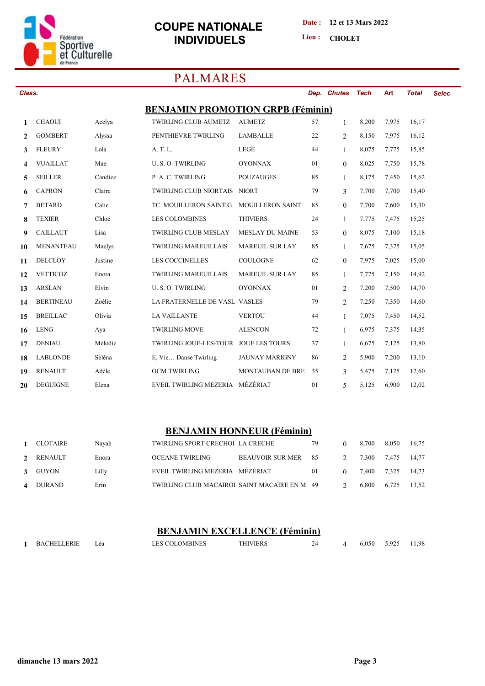

#### **Date : 12 et 13 Mars 2022**

Lieu : CHOLET

# **PALMARES**

| Class.       |                  |         |                                          |                         |    | Dep. Chutes    | <b>Tech</b> | Art   | <b>Total</b> | <b>Selec</b> |
|--------------|------------------|---------|------------------------------------------|-------------------------|----|----------------|-------------|-------|--------------|--------------|
|              |                  |         | <b>BENJAMIN PROMOTION GRPB (Féminin)</b> |                         |    |                |             |       |              |              |
| $\mathbf{1}$ | <b>CHAOUI</b>    | Acelya  | <b>TWIRLING CLUB AUMETZ</b>              | <b>AUMETZ</b>           | 57 | $\mathbf{1}$   | 8,200       | 7,975 | 16,17        |              |
| $\mathbf{2}$ | <b>GOMBERT</b>   | Alyssa  | PENTHIEVRE TWIRLING                      | <b>LAMBALLE</b>         | 22 | $\overline{2}$ | 8,150       | 7,975 | 16,12        |              |
| 3            | <b>FLEURY</b>    | Lola    | A. T. L.                                 | LEGÉ                    | 44 | $\mathbf{1}$   | 8,075       | 7,775 | 15,85        |              |
| 4            | <b>VUAILLAT</b>  | Mae     | U. S. O. TWIRLING                        | <b>OYONNAX</b>          | 01 | $\overline{0}$ | 8,025       | 7,750 | 15,78        |              |
| 5            | <b>SEILLER</b>   | Candice | P. A. C. TWIRLING                        | <b>POUZAUGES</b>        | 85 | $\mathbf{1}$   | 8,175       | 7,450 | 15,62        |              |
| 6            | <b>CAPRON</b>    | Claire  | <b>TWIRLING CLUB NIORTAIS</b>            | <b>NIORT</b>            | 79 | 3              | 7,700       | 7,700 | 15,40        |              |
| 7            | <b>BETARD</b>    | Calie   | TC MOUILLERON SAINT G                    | <b>MOUILLERON SAINT</b> | 85 | $\overline{0}$ | 7,700       | 7,600 | 15,30        |              |
| 8            | <b>TEXIER</b>    | Chloé   | <b>LES COLOMBINES</b>                    | <b>THIVIERS</b>         | 24 | $\mathbf{1}$   | 7,775       | 7,475 | 15,25        |              |
| 9            | <b>CAILLAUT</b>  | Lisa    | <b>TWIRLING CLUB MESLAY</b>              | <b>MESLAY DU MAINE</b>  | 53 | $\Omega$       | 8,075       | 7,100 | 15,18        |              |
| 10           | <b>MENANTEAU</b> | Maelys  | <b>TWIRLING MAREUILLAIS</b>              | <b>MAREUIL SUR LAY</b>  | 85 | $\mathbf{1}$   | 7,675       | 7,375 | 15,05        |              |
| 11           | <b>DELCLOY</b>   | Justine | <b>LES COCCINELLES</b>                   | <b>COULOGNE</b>         | 62 | $\overline{0}$ | 7,975       | 7,025 | 15,00        |              |
| 12           | <b>VETTICOZ</b>  | Enora   | <b>TWIRLING MAREUILLAIS</b>              | <b>MAREUIL SUR LAY</b>  | 85 | $\mathbf{1}$   | 7,775       | 7,150 | 14,92        |              |
| 13           | <b>ARSLAN</b>    | Elvin   | U.S.O. TWIRLING                          | <b>OYONNAX</b>          | 01 | $\overline{2}$ | 7,200       | 7,500 | 14,70        |              |
| 14           | <b>BERTINEAU</b> | Zoélie  | LA FRATERNELLE DE VASL VASLES            |                         | 79 | $\overline{2}$ | 7,250       | 7,350 | 14,60        |              |
| 15           | <b>BREILLAC</b>  | Olivia  | <b>LA VAILLANTE</b>                      | <b>VERTOU</b>           | 44 | $\mathbf{1}$   | 7,075       | 7,450 | 14,52        |              |
| 16           | <b>LENG</b>      | Aya     | <b>TWIRLING MOVE</b>                     | <b>ALENCON</b>          | 72 | $\mathbf{1}$   | 6,975       | 7,375 | 14,35        |              |
| 17           | <b>DENIAU</b>    | Mélodie | TWIRLING JOUE-LES-TOUR JOUE LES TOURS    |                         | 37 | 1              | 6,675       | 7,125 | 13,80        |              |
| 18           | <b>LABLONDE</b>  | Séléna  | E, Vie Danse Twirling                    | <b>JAUNAY MARIGNY</b>   | 86 | $\overline{2}$ | 5,900       | 7,200 | 13,10        |              |
| 19           | <b>RENAULT</b>   | Adèle   | OCM TWIRLING                             | MONTAUBAN DE BRE        | 35 | 3              | 5,475       | 7,125 | 12,60        |              |
| 20           | <b>DEGUIGNE</b>  | Elena   | EVEIL TWIRLING MEZERIA MÉZÉRIAT          |                         | 01 | 5              | 5,125       | 6,900 | 12,02        |              |

#### **BENJAMIN HONNEUR (Féminin)**

|   | 1 CLOTAIRE | Navah | TWIRLING SPORT CRECHOI LA CRECHE             |                     | 79 |          | 8.700       | 8.050 | 16.75 |
|---|------------|-------|----------------------------------------------|---------------------|----|----------|-------------|-------|-------|
|   | 2 RENAULT  | Enora | <b>OCEANE TWIRLING</b>                       | BEAUVOIR SUR MER 85 |    |          | 7.300 7.475 |       | 14.77 |
|   | 3 GUYON    | Lilly | EVEIL TWIRLING MEZERIA MÉZÉRIAT              |                     | 01 | $\Omega$ | 7.400 7.325 |       | 14.73 |
| 4 | DURAND     | Erin  | TWIRLING CLUB MACAIROI SAINT MACAIRE EN M 49 |                     |    |          | 6.800       | 6.725 | 13.52 |

#### **BENJAMIN EXCELLENCE (Féminin)**

|  | <b>BACHELLERIE</b> | Lea | <b>LES COLOMBINES</b> | THIVIERS |  |  | 6,050 | 5,925 | 11,98 |
|--|--------------------|-----|-----------------------|----------|--|--|-------|-------|-------|
|--|--------------------|-----|-----------------------|----------|--|--|-------|-------|-------|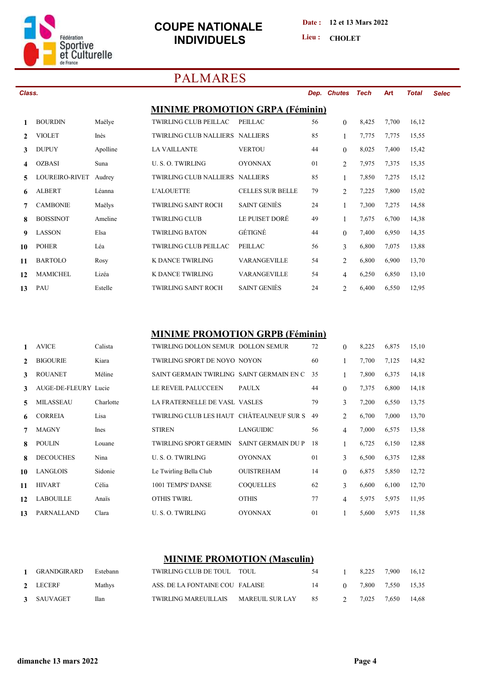

Class.

 $\mathbf{1}$ 

 $\overline{2}$ 

 $\overline{\mathbf{3}}$ 

 $\overline{\mathbf{4}}$ 

5

6

 $\overline{7}$ 

8

9

10

11

 $12$ 13

### **COUPE NATIONALE INDIVIDUELS**

Date: 12 et 13 Mars 2022

Lieu: CHOLET

## **PALMARES**

| s.               |          |                                        |                         | Dep. | <b>Chutes</b>  | Tech  | <b>Art</b> | <b>Total</b> | <b>Selec</b> |
|------------------|----------|----------------------------------------|-------------------------|------|----------------|-------|------------|--------------|--------------|
|                  |          | <b>MINIME PROMOTION GRPA (Féminin)</b> |                         |      |                |       |            |              |              |
| <b>BOURDIN</b>   | Maëlye   | <b>TWIRLING CLUB PEILLAC</b>           | <b>PEILLAC</b>          | 56   | $\theta$       | 8,425 | 7,700      | 16,12        |              |
| <b>VIOLET</b>    | Inès     | <b>TWIRLING CLUB NALLIERS NALLIERS</b> |                         | 85   |                | 7,775 | 7,775      | 15,55        |              |
| <b>DUPUY</b>     | Apolline | <b>LA VAILLANTE</b>                    | <b>VERTOU</b>           | 44   | $\theta$       | 8,025 | 7,400      | 15,42        |              |
| <b>OZBASI</b>    | Suna     | <b>U.S.O. TWIRLING</b>                 | <b>OYONNAX</b>          | 01   | $\overline{2}$ | 7,975 | 7,375      | 15,35        |              |
| LOUREIRO-RIVET   | Audrey   | <b>TWIRLING CLUB NALLIERS</b>          | <b>NALLIERS</b>         | 85   |                | 7,850 | 7,275      | 15,12        |              |
| <b>ALBERT</b>    | Léanna   | <b>L'ALOUETTE</b>                      | <b>CELLES SUR BELLE</b> | 79   | $\overline{2}$ | 7,225 | 7,800      | 15,02        |              |
| <b>CAMBONIE</b>  | Maëlys   | <b>TWIRLING SAINT ROCH</b>             | <b>SAINT GENIES</b>     | 24   |                | 7,300 | 7,275      | 14,58        |              |
| <b>BOISSINOT</b> | Ameline  | <b>TWIRLING CLUB</b>                   | LE PUISET DORÉ          | 49   |                | 7,675 | 6,700      | 14,38        |              |
| <b>LASSON</b>    | Elsa     | <b>TWIRLING BATON</b>                  | GÉTIGNÉ                 | 44   | $\theta$       | 7,400 | 6,950      | 14,35        |              |
| <b>POHER</b>     | Léa      | <b>TWIRLING CLUB PEILLAC</b>           | <b>PEILLAC</b>          | 56   | 3              | 6,800 | 7,075      | 13,88        |              |
| <b>BARTOLO</b>   | Rosy     | K DANCE TWIRLING                       | <b>VARANGEVILLE</b>     | 54   | $\overline{2}$ | 6,800 | 6,900      | 13,70        |              |
| <b>MAMICHEL</b>  | Lizéa    | K DANCE TWIRLING                       | <b>VARANGEVILLE</b>     | 54   | 4              | 6,250 | 6,850      | 13,10        |              |
| PAU              | Estelle  | <b>TWIRLING SAINT ROCH</b>             | <b>SAINT GENIES</b>     | 24   | $\overline{2}$ | 6,400 | 6,550      | 12,95        |              |

#### **MINIME PROMOTION GRPB (Féminin)**

|              | <b>AVICE</b>         | Calista   | TWIRLING DOLLON SEMUR DOLLON SEMUR        |                    | 72 | $\theta$       | 8,225 | 6,875 | 15,10 |
|--------------|----------------------|-----------|-------------------------------------------|--------------------|----|----------------|-------|-------|-------|
| $\mathbf{2}$ | <b>BIGOURIE</b>      | Kiara     | TWIRLING SPORT DE NOYO NOYON              |                    | 60 |                | 7,700 | 7,125 | 14,82 |
| 3            | <b>ROUANET</b>       | Méline    | SAINT GERMAIN TWIRLING SAINT GERMAIN EN C |                    | 35 | 1              | 7,800 | 6,375 | 14,18 |
| 3            | AUGE-DE-FLEURY Lucie |           | LE REVEIL PALUCCEEN                       | <b>PAULX</b>       | 44 | $\Omega$       | 7,375 | 6,800 | 14,18 |
| 5            | <b>MILASSEAU</b>     | Charlotte | <b>LA FRATERNELLE DE VASL VASLES</b>      |                    | 79 | 3              | 7,200 | 6,550 | 13,75 |
| 6            | <b>CORREIA</b>       | Lisa      | TWIRLING CLUB LES HAUT CHÂTEAUNEUF SUR S  |                    | 49 | 2              | 6,700 | 7,000 | 13,70 |
| 7            | <b>MAGNY</b>         | Ines      | <b>STIREN</b>                             | <b>LANGUIDIC</b>   | 56 | $\overline{4}$ | 7,000 | 6,575 | 13,58 |
| 8            | <b>POULIN</b>        | Louane    | <b>TWIRLING SPORT GERMIN</b>              | SAINT GERMAIN DU P | 18 |                | 6,725 | 6,150 | 12,88 |
| 8            | <b>DECOUCHES</b>     | Nina      | U. S. O. TWIRLING                         | <b>OYONNAX</b>     | 01 | 3              | 6,500 | 6,375 | 12,88 |
| 10           | <b>LANGLOIS</b>      | Sidonie   | Le Twirling Bella Club                    | <b>OUISTREHAM</b>  | 14 | $\Omega$       | 6,875 | 5,850 | 12,72 |
| 11           | <b>HIVART</b>        | Célia     | 1001 TEMPS' DANSE                         | <b>COQUELLES</b>   | 62 | 3              | 6,600 | 6,100 | 12,70 |
| 12           | <b>LABOUILLE</b>     | Anaïs     | <b>OTHIS TWIRL</b>                        | <b>OTHIS</b>       | 77 | $\overline{4}$ | 5,975 | 5,975 | 11,95 |
| 13           | PARNALLAND           | Clara     | U.S.O. TWIRLING                           | <b>OYONNAX</b>     | 01 |                | 5,600 | 5,975 | 11,58 |

#### **MINIME PROMOTION (Masculin)**

| 1 GRANDGIRARD | Estebann | TWIRLING CLUB DE TOUL TOUL              | -54 |          | 8.225 7.900 16.12   |  |
|---------------|----------|-----------------------------------------|-----|----------|---------------------|--|
| 2 LECERF      | Mathys   | ASS. DE LA FONTAINE COU FALAISE         | 14  | $\Omega$ | 7.800 7.550 15.35   |  |
| 3 SAUVAGET    | Ilan     | TWIRLING MAREUILLAIS MAREUIL SUR LAY 85 |     |          | 2 7.025 7.650 14.68 |  |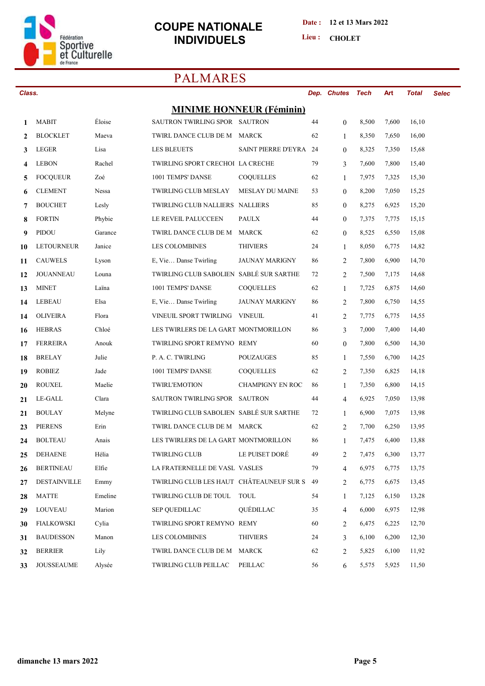

#### Date: 12 et 13 Mars 2022

Lieu: CHOLET

# **PALMARES**

| Class. |                     |         |                                          |                                 |    | Dep. Chutes    | Tech  | Art   | <b>Total</b> | <b>Selec</b> |
|--------|---------------------|---------|------------------------------------------|---------------------------------|----|----------------|-------|-------|--------------|--------------|
|        |                     |         |                                          | <b>MINIME HONNEUR (Féminin)</b> |    |                |       |       |              |              |
| 1      | <b>MABIT</b>        | Éloise  | SAUTRON TWIRLING SPOR SAUTRON            |                                 | 44 | $\mathbf{0}$   | 8,500 | 7,600 | 16,10        |              |
| 2      | <b>BLOCKLET</b>     | Maeva   | TWIRL DANCE CLUB DE M                    | MARCK                           | 62 | $\mathbf{1}$   | 8,350 | 7,650 | 16,00        |              |
| 3      | <b>LEGER</b>        | Lisa    | <b>LES BLEUETS</b>                       | SAINT PIERRE D'EYRA 24          |    | $\theta$       | 8,325 | 7,350 | 15,68        |              |
| 4      | <b>LEBON</b>        | Rachel  | TWIRLING SPORT CRECHOI LA CRECHE         |                                 | 79 | 3              | 7,600 | 7,800 | 15,40        |              |
| 5      | <b>FOCQUEUR</b>     | Zoé     | 1001 TEMPS' DANSE                        | <b>COQUELLES</b>                | 62 | $\mathbf{1}$   | 7,975 | 7,325 | 15,30        |              |
| 6      | <b>CLEMENT</b>      | Nessa   | <b>TWIRLING CLUB MESLAY</b>              | <b>MESLAY DU MAINE</b>          | 53 | $\mathbf{0}$   | 8,200 | 7,050 | 15,25        |              |
| 7      | <b>BOUCHET</b>      | Lesly   | TWIRLING CLUB NALLIERS NALLIERS          |                                 | 85 | $\mathbf{0}$   | 8,275 | 6,925 | 15,20        |              |
| 8      | <b>FORTIN</b>       | Phybie  | LE REVEIL PALUCCEEN                      | <b>PAULX</b>                    | 44 | $\mathbf{0}$   | 7,375 | 7,775 | 15,15        |              |
| 9      | PIDOU               | Garance | TWIRL DANCE CLUB DE M                    | MARCK                           | 62 | $\mathbf{0}$   | 8,525 | 6,550 | 15,08        |              |
| 10     | <b>LETOURNEUR</b>   | Janice  | <b>LES COLOMBINES</b>                    | <b>THIVIERS</b>                 | 24 | $\mathbf{1}$   | 8,050 | 6,775 | 14,82        |              |
| 11     | <b>CAUWELS</b>      | Lyson   | E, Vie Danse Twirling                    | <b>JAUNAY MARIGNY</b>           | 86 | 2              | 7,800 | 6,900 | 14,70        |              |
| 12     | <b>JOUANNEAU</b>    | Louna   | TWIRLING CLUB SABOLIEN SABLÉ SUR SARTHE  |                                 | 72 | 2              | 7,500 | 7,175 | 14,68        |              |
| 13     | <b>MINET</b>        | Laïna   | 1001 TEMPS' DANSE                        | <b>COQUELLES</b>                | 62 | $\mathbf{1}$   | 7,725 | 6,875 | 14,60        |              |
| 14     | LEBEAU              | Elsa    | E, Vie Danse Twirling                    | <b>JAUNAY MARIGNY</b>           | 86 | 2              | 7,800 | 6,750 | 14,55        |              |
| 14     | <b>OLIVEIRA</b>     | Flora   | VINEUIL SPORT TWIRLING VINEUIL           |                                 | 41 | 2              | 7,775 | 6,775 | 14,55        |              |
| 16     | <b>HEBRAS</b>       | Chloé   | LES TWIRLERS DE LA GART MONTMORILLON     |                                 | 86 | 3              | 7,000 | 7,400 | 14,40        |              |
| 17     | <b>FERREIRA</b>     | Anouk   | TWIRLING SPORT REMYNO REMY               |                                 | 60 | $\mathbf{0}$   | 7,800 | 6,500 | 14,30        |              |
| 18     | <b>BRELAY</b>       | Julie   | P. A. C. TWIRLING                        | <b>POUZAUGES</b>                | 85 | 1              | 7,550 | 6,700 | 14,25        |              |
| 19     | <b>ROBIEZ</b>       | Jade    | 1001 TEMPS' DANSE                        | <b>COQUELLES</b>                | 62 | 2              | 7,350 | 6,825 | 14,18        |              |
| 20     | <b>ROUXEL</b>       | Maelie  | <b>TWIRL'EMOTION</b>                     | <b>CHAMPIGNY EN ROC</b>         | 86 | $\mathbf{1}$   | 7,350 | 6,800 | 14,15        |              |
| 21     | LE-GALL             | Clara   | SAUTRON TWIRLING SPOR SAUTRON            |                                 | 44 | $\overline{4}$ | 6,925 | 7,050 | 13,98        |              |
| 21     | <b>BOULAY</b>       | Melyne  | TWIRLING CLUB SABOLIEN SABLÉ SUR SARTHE  |                                 | 72 | 1              | 6,900 | 7,075 | 13,98        |              |
| 23     | <b>PIERENS</b>      | Erin    | TWIRL DANCE CLUB DE M MARCK              |                                 | 62 | 2              | 7,700 | 6,250 | 13,95        |              |
| 24     | <b>BOLTEAU</b>      | Anais   | LES TWIRLERS DE LA GART MONTMORILLON     |                                 | 86 | 1              | 7,475 | 6,400 | 13,88        |              |
| 25     | <b>DEHAENE</b>      | Hélia   | <b>TWIRLING CLUB</b>                     | LE PUISET DORÉ                  | 49 | $\overline{c}$ | 7,475 | 6,300 | 13,77        |              |
| 26     | <b>BERTINEAU</b>    | Elfie   | LA FRATERNELLE DE VASL VASLES            |                                 | 79 | $\overline{4}$ | 6,975 | 6,775 | 13,75        |              |
| 27     | <b>DESTAINVILLE</b> | Emmy    | TWIRLING CLUB LES HAUT CHÂTEAUNEUF SUR S |                                 | 49 | 2              | 6,775 | 6,675 | 13,45        |              |
| 28     | <b>MATTE</b>        | Emeline | TWIRLING CLUB DE TOUL                    | <b>TOUL</b>                     | 54 | $\mathbf{1}$   | 7,125 | 6,150 | 13,28        |              |
| 29     | <b>LOUVEAU</b>      | Marion  | <b>SEP OUEDILLAC</b>                     | QUÉDILLAC                       | 35 | $\overline{4}$ | 6,000 | 6,975 | 12,98        |              |
| 30     | <b>FIALKOWSKI</b>   | Cylia   | TWIRLING SPORT REMYNO REMY               |                                 | 60 | 2              | 6,475 | 6,225 | 12,70        |              |
| 31     | <b>BAUDESSON</b>    | Manon   | <b>LES COLOMBINES</b>                    | <b>THIVIERS</b>                 | 24 | 3              | 6,100 | 6,200 | 12,30        |              |
| 32     | <b>BERRIER</b>      | Lily    | TWIRL DANCE CLUB DE M                    | MARCK                           | 62 | 2              | 5,825 | 6,100 | 11,92        |              |
| 33     | <b>JOUSSEAUME</b>   | Alysée  | <b>TWIRLING CLUB PEILLAC</b>             | PEILLAC                         | 56 | 6              | 5,575 | 5,925 | 11,50        |              |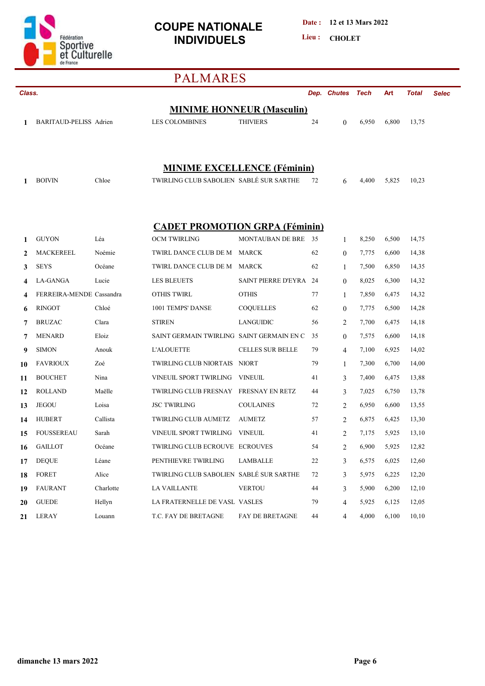

**Date : 12 et 13 Mars 2022**

Lieu : CHOLET

# **PALMARES**

|          | Class.                         |                  |                                                              |                                  |          | Dep. Chutes         | Tech           | Art            | <b>Total</b>   | <b>Selec</b> |
|----------|--------------------------------|------------------|--------------------------------------------------------------|----------------------------------|----------|---------------------|----------------|----------------|----------------|--------------|
|          |                                |                  |                                                              | <b>MINIME HONNEUR (Masculin)</b> |          |                     |                |                |                |              |
| 1        | BARITAUD-PELISS Adrien         |                  | <b>LES COLOMBINES</b>                                        | <b>THIVIERS</b>                  | 24       | $\theta$            | 6,950          | 6,800          | 13,75          |              |
|          |                                |                  |                                                              |                                  |          |                     |                |                |                |              |
|          |                                |                  |                                                              |                                  |          |                     |                |                |                |              |
|          |                                |                  | <b>MINIME EXCELLENCE (Féminin)</b>                           |                                  |          |                     |                |                |                |              |
| 1        | <b>BOIVIN</b>                  | Chloe            | TWIRLING CLUB SABOLIEN SABLÉ SUR SARTHE                      |                                  | 72       | 6                   | 4,400          | 5,825          | 10,23          |              |
|          |                                |                  |                                                              |                                  |          |                     |                |                |                |              |
|          |                                |                  |                                                              |                                  |          |                     |                |                |                |              |
|          |                                |                  |                                                              |                                  |          |                     |                |                |                |              |
| 1        | <b>GUYON</b>                   | Léa              | <b>CADET PROMOTION GRPA (Féminin)</b><br><b>OCM TWIRLING</b> | MONTAUBAN DE BRE                 | 35       | $\mathbf{1}$        | 8,250          | 6,500          | 14,75          |              |
| 2        | <b>MACKEREEL</b>               | Noémie           | TWIRL DANCE CLUB DE M                                        | <b>MARCK</b>                     | 62       | $\overline{0}$      | 7,775          | 6,600          | 14,38          |              |
| 3        | <b>SEYS</b>                    | Océane           | TWIRL DANCE CLUB DE M                                        | MARCK                            | 62       | $\mathbf{1}$        | 7,500          | 6,850          | 14,35          |              |
|          | LA-GANGA                       | Lucie            | <b>LES BLEUETS</b>                                           | SAINT PIERRE D'EYRA 24           |          | $\mathbf{0}$        | 8,025          | 6,300          | 14,32          |              |
| 4        | FERREIRA-MENDE Cassandra       |                  | <b>OTHIS TWIRL</b>                                           | <b>OTHIS</b>                     | 77       | 1                   | 7,850          | 6,475          | 14,32          |              |
| 6        | <b>RINGOT</b>                  | Chloé            | 1001 TEMPS' DANSE                                            | COQUELLES                        | 62       | $\theta$            | 7,775          | 6,500          | 14,28          |              |
| 7        | <b>BRUZAC</b>                  | Clara            | <b>STIREN</b>                                                | LANGUIDIC                        | 56       | 2                   | 7,700          | 6,475          | 14,18          |              |
| 7        | <b>MENARD</b>                  | Eloiz            | SAINT GERMAIN TWIRLING SAINT GERMAIN EN C                    |                                  | 35       | $\theta$            | 7,575          | 6,600          | 14,18          |              |
| 9        | <b>SIMON</b>                   | Anouk            | <b>L'ALOUETTE</b>                                            | <b>CELLES SUR BELLE</b>          | 79       | $\overline{4}$      | 7,100          | 6,925          | 14,02          |              |
| 10       | <b>FAVRIOUX</b>                | Zoé              | TWIRLING CLUB NIORTAIS NIORT                                 |                                  | 79       | $\mathbf{1}$        | 7,300          | 6,700          | 14,00          |              |
| 11       | <b>BOUCHET</b>                 | Nina             | VINEUIL SPORT TWIRLING                                       | <b>VINEUIL</b>                   | 41       | 3                   | 7,400          | 6,475          | 13,88          |              |
|          | <b>ROLLAND</b>                 | Maëlle           | TWIRLING CLUB FRESNAY FRESNAY EN RETZ                        |                                  | 44       | 3                   | 7,025          | 6,750          | 13,78          |              |
| 12       | <b>JEGOU</b>                   | Loisa            | <b>JSC TWIRLING</b>                                          | <b>COULAINES</b>                 | 72       | 2                   | 6,950          | 6,600          | 13,55          |              |
| 13<br>14 | <b>HUBERT</b>                  | Callista         | <b>TWIRLING CLUB AUMETZ</b>                                  | <b>AUMETZ</b>                    | 57       | 2                   | 6,875          | 6,425          | 13,30          |              |
| 15       | <b>FOUSSEREAU</b>              | Sarah            | VINEUIL SPORT TWIRLING                                       | VINEUIL                          | 41       | 2                   | 7,175          | 5,925          | 13,10          |              |
|          | <b>GAILLOT</b>                 | Océane           | TWIRLING CLUB ECROUVE ECROUVES                               |                                  | 54       | $\overline{2}$      | 6,900          | 5,925          | 12,82          |              |
| 16       | <b>DEQUE</b>                   | Léane            | PENTHIEVRE TWIRLING                                          | LAMBALLE                         | 22       |                     | 6,575          | 6,025          | 12,60          |              |
| 17       | <b>FORET</b>                   | Alice            | TWIRLING CLUB SABOLIEN SABLÉ SUR SARTHE                      |                                  | 72       | 3                   | 5,975          |                |                |              |
| 18       |                                | Charlotte        |                                                              | <b>VERTOU</b>                    |          | 3                   | 5,900          | 6,225          | 12,20          |              |
| 19       | <b>FAURANT</b><br><b>GUEDE</b> |                  | LA VAILLANTE<br>LA FRATERNELLE DE VASL VASLES                |                                  | 44       | 3                   |                | 6,200          | 12,10          |              |
| 20<br>21 | <b>LERAY</b>                   | Hellyn<br>Louann | T.C. FAY DE BRETAGNE                                         | <b>FAY DE BRETAGNE</b>           | 79<br>44 | $\overline{4}$<br>4 | 5,925<br>4,000 | 6,125<br>6,100 | 12,05<br>10,10 |              |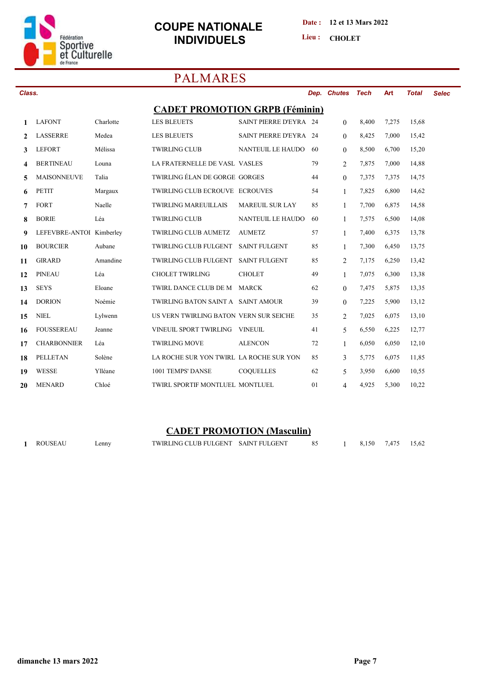

#### **Date : 12 et 13 Mars 2022**

Lieu : CHOLET

# **PALMARES**

| Class.       |                          |           |                                         |                          |    | Dep. Chutes    | Tech  | Art   | <b>Total</b> | <b>Selec</b> |
|--------------|--------------------------|-----------|-----------------------------------------|--------------------------|----|----------------|-------|-------|--------------|--------------|
|              |                          |           | <b>CADET PROMOTION GRPB (Féminin)</b>   |                          |    |                |       |       |              |              |
| 1            | <b>LAFONT</b>            | Charlotte | <b>LES BLEUETS</b>                      | SAINT PIERRE D'EYRA 24   |    | $\mathbf{0}$   | 8,400 | 7,275 | 15,68        |              |
| $\mathbf{2}$ | <b>LASSERRE</b>          | Medea     | <b>LES BLEUETS</b>                      | SAINT PIERRE D'EYRA 24   |    | $\theta$       | 8,425 | 7,000 | 15,42        |              |
| 3            | <b>LEFORT</b>            | Mélissa   | <b>TWIRLING CLUB</b>                    | <b>NANTEUIL LE HAUDO</b> | 60 | $\theta$       | 8,500 | 6,700 | 15,20        |              |
| 4            | <b>BERTINEAU</b>         | Louna     | LA FRATERNELLE DE VASL VASLES           |                          | 79 | 2              | 7,875 | 7,000 | 14,88        |              |
| 5            | <b>MAISONNEUVE</b>       | Talia     | TWIRLING ÉLAN DE GORGE GORGES           |                          | 44 | $\overline{0}$ | 7,375 | 7,375 | 14,75        |              |
| 6            | <b>PETIT</b>             | Margaux   | TWIRLING CLUB ECROUVE ECROUVES          |                          | 54 | $\mathbf{1}$   | 7,825 | 6,800 | 14,62        |              |
| 7            | <b>FORT</b>              | Naelle    | <b>TWIRLING MAREUILLAIS</b>             | <b>MAREUIL SUR LAY</b>   | 85 | $\mathbf{1}$   | 7,700 | 6,875 | 14,58        |              |
| 8            | <b>BORIE</b>             | Léa       | <b>TWIRLING CLUB</b>                    | <b>NANTEUIL LE HAUDO</b> | 60 | 1              | 7,575 | 6,500 | 14,08        |              |
| 9            | LEFEVBRE-ANTOI Kimberley |           | <b>TWIRLING CLUB AUMETZ</b>             | <b>AUMETZ</b>            | 57 | $\mathbf{1}$   | 7,400 | 6,375 | 13,78        |              |
| 10           | <b>BOURCIER</b>          | Aubane    | TWIRLING CLUB FULGENT                   | <b>SAINT FULGENT</b>     | 85 | $\mathbf{1}$   | 7,300 | 6,450 | 13,75        |              |
| 11           | <b>GIRARD</b>            | Amandine  | <b>TWIRLING CLUB FULGENT</b>            | <b>SAINT FULGENT</b>     | 85 | 2              | 7,175 | 6,250 | 13,42        |              |
| 12           | <b>PINEAU</b>            | Léa       | <b>CHOLET TWIRLING</b>                  | <b>CHOLET</b>            | 49 | $\mathbf{1}$   | 7,075 | 6,300 | 13,38        |              |
| 13           | <b>SEYS</b>              | Eloane    | TWIRL DANCE CLUB DE M                   | <b>MARCK</b>             | 62 | $\theta$       | 7,475 | 5,875 | 13,35        |              |
| 14           | <b>DORION</b>            | Noémie    | TWIRLING BATON SAINT A SAINT AMOUR      |                          | 39 | $\theta$       | 7,225 | 5,900 | 13,12        |              |
| 15           | <b>NIEL</b>              | Lylwenn   | US VERN TWIRLING BATON VERN SUR SEICHE  |                          | 35 | $\overline{2}$ | 7,025 | 6,075 | 13,10        |              |
| 16           | <b>FOUSSEREAU</b>        | Jeanne    | VINEUIL SPORT TWIRLING                  | <b>VINEUIL</b>           | 41 | 5              | 6,550 | 6,225 | 12,77        |              |
| 17           | <b>CHARBONNIER</b>       | Léa       | <b>TWIRLING MOVE</b>                    | <b>ALENCON</b>           | 72 | 1              | 6,050 | 6,050 | 12,10        |              |
| 18           | <b>PELLETAN</b>          | Solène    | LA ROCHE SUR YON TWIRL LA ROCHE SUR YON |                          | 85 | $\overline{3}$ | 5,775 | 6,075 | 11,85        |              |
| 19           | <b>WESSE</b>             | Ylléane   | 1001 TEMPS' DANSE                       | <b>COQUELLES</b>         | 62 | 5              | 3,950 | 6,600 | 10,55        |              |
| 20           | <b>MENARD</b>            | Chloé     | TWIRL SPORTIF MONTLUEL MONTLUEL         |                          | 01 | 4              | 4,925 | 5,300 | 10,22        |              |

## **CADET PROMOTION (Masculin)**

| ROUSEAU | $\mathsf{Lennv}$ | TWIRLING CLUB FULGENT SAINT FULGENT |  | 8,150 7,475 15,62 |  |
|---------|------------------|-------------------------------------|--|-------------------|--|
|         |                  |                                     |  |                   |  |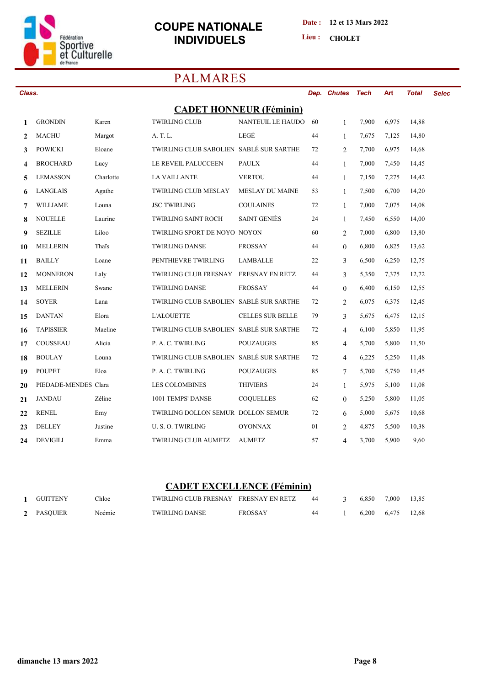

#### **Date : 12 et 13 Mars 2022**

Lieu : CHOLET

# **PALMARES**

| Class.       |                      |           |                                         |                                |    | Dep. Chutes    | <b>Tech</b> | Art   | <b>Total</b> | <b>Selec</b> |
|--------------|----------------------|-----------|-----------------------------------------|--------------------------------|----|----------------|-------------|-------|--------------|--------------|
|              |                      |           |                                         | <b>CADET HONNEUR (Féminin)</b> |    |                |             |       |              |              |
| 1            | <b>GRONDIN</b>       | Karen     | <b>TWIRLING CLUB</b>                    | <b>NANTEUIL LE HAUDO</b>       | 60 | $\mathbf{1}$   | 7,900       | 6,975 | 14,88        |              |
| $\mathbf{2}$ | <b>MACHU</b>         | Margot    | A. T. L.                                | LEGÉ                           | 44 | $\mathbf{1}$   | 7,675       | 7,125 | 14,80        |              |
| 3            | <b>POWICKI</b>       | Eloane    | TWIRLING CLUB SABOLIEN SABLÉ SUR SARTHE |                                | 72 | $\overline{2}$ | 7,700       | 6,975 | 14,68        |              |
| 4            | <b>BROCHARD</b>      | Lucy      | LE REVEIL PALUCCEEN                     | <b>PAULX</b>                   | 44 | $\mathbf{1}$   | 7,000       | 7,450 | 14,45        |              |
| 5            | <b>LEMASSON</b>      | Charlotte | <b>LA VAILLANTE</b>                     | <b>VERTOU</b>                  | 44 | $\mathbf{1}$   | 7,150       | 7,275 | 14,42        |              |
| 6            | LANGLAIS             | Agathe    | <b>TWIRLING CLUB MESLAY</b>             | <b>MESLAY DU MAINE</b>         | 53 | $\mathbf{1}$   | 7,500       | 6,700 | 14,20        |              |
| 7            | <b>WILLIAME</b>      | Louna     | <b>JSC TWIRLING</b>                     | <b>COULAINES</b>               | 72 | $\mathbf{1}$   | 7,000       | 7,075 | 14,08        |              |
| 8            | <b>NOUELLE</b>       | Laurine   | <b>TWIRLING SAINT ROCH</b>              | <b>SAINT GENIES</b>            | 24 | $\mathbf{1}$   | 7,450       | 6,550 | 14,00        |              |
| 9            | <b>SEZILLE</b>       | Liloo     | TWIRLING SPORT DE NOYO NOYON            |                                | 60 | $\overline{2}$ | 7,000       | 6,800 | 13,80        |              |
| 10           | <b>MELLERIN</b>      | Thais     | <b>TWIRLING DANSE</b>                   | <b>FROSSAY</b>                 | 44 | $\overline{0}$ | 6,800       | 6,825 | 13,62        |              |
| 11           | <b>BAILLY</b>        | Loane     | PENTHIEVRE TWIRLING                     | <b>LAMBALLE</b>                | 22 | 3              | 6,500       | 6,250 | 12,75        |              |
| 12           | <b>MONNERON</b>      | Laly      | <b>TWIRLING CLUB FRESNAY</b>            | <b>FRESNAY EN RETZ</b>         | 44 | 3              | 5,350       | 7,375 | 12,72        |              |
| 13           | <b>MELLERIN</b>      | Swane     | <b>TWIRLING DANSE</b>                   | <b>FROSSAY</b>                 | 44 | $\overline{0}$ | 6,400       | 6,150 | 12,55        |              |
| 14           | <b>SOYER</b>         | Lana      | TWIRLING CLUB SABOLIEN SABLÉ SUR SARTHE |                                | 72 | 2              | 6,075       | 6,375 | 12,45        |              |
| 15           | <b>DANTAN</b>        | Elora     | <b>L'ALOUETTE</b>                       | <b>CELLES SUR BELLE</b>        | 79 | 3              | 5,675       | 6,475 | 12,15        |              |
| 16           | <b>TAPISSIER</b>     | Maeline   | TWIRLING CLUB SABOLIEN SABLÉ SUR SARTHE |                                | 72 | 4              | 6,100       | 5,850 | 11,95        |              |
| 17           | <b>COUSSEAU</b>      | Alicia    | P. A. C. TWIRLING                       | <b>POUZAUGES</b>               | 85 | 4              | 5,700       | 5,800 | 11,50        |              |
| 18           | <b>BOULAY</b>        | Louna     | TWIRLING CLUB SABOLIEN SABLÉ SUR SARTHE |                                | 72 | $\overline{4}$ | 6,225       | 5,250 | 11,48        |              |
| 19           | <b>POUPET</b>        | Eloa      | P. A. C. TWIRLING                       | <b>POUZAUGES</b>               | 85 | 7              | 5,700       | 5,750 | 11,45        |              |
| 20           | PIEDADE-MENDES Clara |           | <b>LES COLOMBINES</b>                   | <b>THIVIERS</b>                | 24 | $\mathbf{1}$   | 5,975       | 5,100 | 11,08        |              |
| 21           | <b>JANDAU</b>        | Zéline    | 1001 TEMPS' DANSE                       | <b>COQUELLES</b>               | 62 | $\overline{0}$ | 5,250       | 5,800 | 11,05        |              |
| 22           | <b>RENEL</b>         | Emy       | TWIRLING DOLLON SEMUR DOLLON SEMUR      |                                | 72 | 6              | 5,000       | 5,675 | 10,68        |              |
| 23           | <b>DELLEY</b>        | Justine   | U.S.O. TWIRLING                         | <b>OYONNAX</b>                 | 01 | 2              | 4,875       | 5,500 | 10,38        |              |
| 24           | <b>DEVIGILI</b>      | Emma      | <b>TWIRLING CLUB AUMETZ</b>             | <b>AUMETZ</b>                  | 57 | $\overline{4}$ | 3,700       | 5,900 | 9,60         |              |

#### **CADET EXCELLENCE (Féminin)**

| GUITTENY   | Chloe  | TWIRLING CLUB FRESNAY FRESNAY EN RETZ |         | 44 | 6.850       | 7.000 | 13,85 |
|------------|--------|---------------------------------------|---------|----|-------------|-------|-------|
| 2 PASQUIER | Noémie | <b>TWIRLING DANSE</b>                 | FROSSAY | 44 | 6,200 6,475 |       | 12.68 |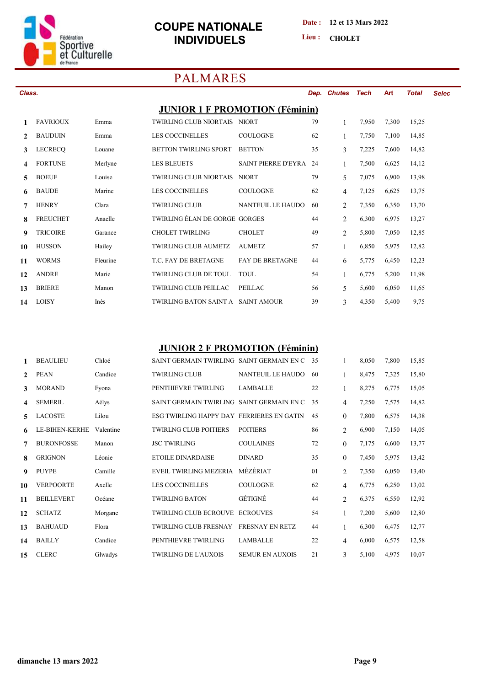

### **COUPE NATIONALE INDIVIDUELS** Lieu: CHOLET

**Date : 12 et 13 Mars 2022**

**Lieu :**

## **PALMARES**

| Class. |                 |         |                                       |                        |    | Dep. Chutes | Tech  | <b>Art</b> | Total | <b>Selec</b> |
|--------|-----------------|---------|---------------------------------------|------------------------|----|-------------|-------|------------|-------|--------------|
|        |                 |         | <b>JUNIOR 1 F PROMOTION (Féminin)</b> |                        |    |             |       |            |       |              |
|        | <b>FAVRIOUX</b> | Emma    | TWIRLING CLUB NIORTAIS NIORT          |                        | 79 |             | 7.950 | 7,300      | 15,25 |              |
|        | <b>BAUDUIN</b>  | Emma    | <b>LES COCCINELLES</b>                | <b>COULOGNE</b>        | 62 |             | 7,750 | 7,100      | 14,85 |              |
|        | LECRECO         | Louane  | BETTON TWIRLING SPORT                 | <b>BETTON</b>          | 35 | 3           | 7,225 | 7,600      | 14,82 |              |
| 4      | <b>FORTUNE</b>  | Merlyne | <b>LES BLEUETS</b>                    | SAINT PIERRE D'EYRA 24 |    |             | 7,500 | 6,625      | 14,12 |              |
|        | <b>BOEUF</b>    | Louise  | TWIRLING CLUB NIORTAIS NIORT          |                        | 79 | 5           | 7,075 | 6,900      | 13,98 |              |
| 6.     | <b>BAUDE</b>    | Marine  | LES COCCINELLES                       | <b>COULOGNE</b>        | 62 | 4           | 7,125 | 6,625      | 13,75 |              |

 **HENRY Clara TWIRLING CLUB NANTEUIL LE HAUDO 60 2 7,350 6,350 13,70 FREUCHET Anaelle TWIRLING ÉLAN DE GORGE GORGES 44 2 6,300 6,975 13,27 TRICOIRE Garance CHOLET TWIRLING CHOLET 49 2 5,800 7,050 12,85 HUSSON Hailey TWIRLING CLUB AUMETZ AUMETZ 57 1 6,850 5,975 12,82 WORMS Fleurine T.C. FAY DE BRETAGNE FAY DE BRETAGNE 44 6 5,775 6,450 12,23 ANDRE Marie TWIRLING CLUB DE TOUL TOUL 54 1 6,775 5,200 11,98 BRIERE Manon TWIRLING CLUB PEILLAC PEILLAC 56 5 5,600 6,050 11,65 LOISY Inès TWIRLING BATON SAINT A SAINT AMOUR 39 3 4,350 5,400 9,75**

#### **JUNIOR 2 F PROMOTION (Féminin)**

|    | <b>BEAULIEU</b>   | Chloé     | SAINT GERMAIN TWIRLING SAINT GERMAIN EN C |                          | - 35 | 1              | 8,050 | 7,800 | 15,85 |
|----|-------------------|-----------|-------------------------------------------|--------------------------|------|----------------|-------|-------|-------|
| 2  | <b>PEAN</b>       | Candice   | <b>TWIRLING CLUB</b>                      | <b>NANTEUIL LE HAUDO</b> | 60   | 1              | 8,475 | 7,325 | 15,80 |
| 3  | <b>MORAND</b>     | Fyona     | PENTHIEVRE TWIRLING                       | <b>LAMBALLE</b>          | 22   | 1              | 8,275 | 6,775 | 15,05 |
| 4  | <b>SEMERIL</b>    | Aélys     | SAINT GERMAIN TWIRLING SAINT GERMAIN EN C |                          | 35   | 4              | 7,250 | 7,575 | 14,82 |
| 5  | <b>LACOSTE</b>    | Lilou     | ESG TWIRLING HAPPY DAY FERRIERES EN GATIN |                          | 45   | $\Omega$       | 7,800 | 6,575 | 14,38 |
| 6  | LE-BIHEN-KERHE    | Valentine | <b>TWIRLNG CLUB POITIERS</b>              | <b>POITIERS</b>          | 86   | $\overline{2}$ | 6,900 | 7,150 | 14,05 |
|    | <b>BURONFOSSE</b> | Manon     | <b>JSC TWIRLING</b>                       | <b>COULAINES</b>         | 72   | $\Omega$       | 7,175 | 6,600 | 13,77 |
| 8  | <b>GRIGNON</b>    | Léonie    | <b>ETOILE DINARDAISE</b>                  | <b>DINARD</b>            | 35   | $\mathbf{0}$   | 7,450 | 5,975 | 13,42 |
| 9  | <b>PUYPE</b>      | Camille   | <b>EVEIL TWIRLING MEZERIA</b>             | MÉZÉRIAT                 | 01   | 2              | 7,350 | 6,050 | 13,40 |
| 10 | <b>VERPOORTE</b>  | Axelle    | <b>LES COCCINELLES</b>                    | <b>COULOGNE</b>          | 62   | $\overline{4}$ | 6,775 | 6,250 | 13,02 |
| 11 | <b>BEILLEVERT</b> | Océane    | <b>TWIRLING BATON</b>                     | GÉTIGNÉ                  | 44   | $\overline{2}$ | 6,375 | 6,550 | 12,92 |
| 12 | <b>SCHATZ</b>     | Morgane   | <b>TWIRLING CLUB ECROUVE</b>              | <b>ECROUVES</b>          | 54   | 1              | 7,200 | 5,600 | 12,80 |
| 13 | <b>BAHUAUD</b>    | Flora     | <b>TWIRLING CLUB FRESNAY</b>              | <b>FRESNAY EN RETZ</b>   | 44   | 1              | 6,300 | 6,475 | 12,77 |
| 14 | <b>BAILLY</b>     | Candice   | PENTHIEVRE TWIRLING                       | <b>LAMBALLE</b>          | 22   | $\overline{4}$ | 6,000 | 6,575 | 12,58 |
| 15 | <b>CLERC</b>      | Glwadys   | <b>TWIRLING DE L'AUXOIS</b>               | <b>SEMUR EN AUXOIS</b>   | 21   | 3              | 5,100 | 4,975 | 10,07 |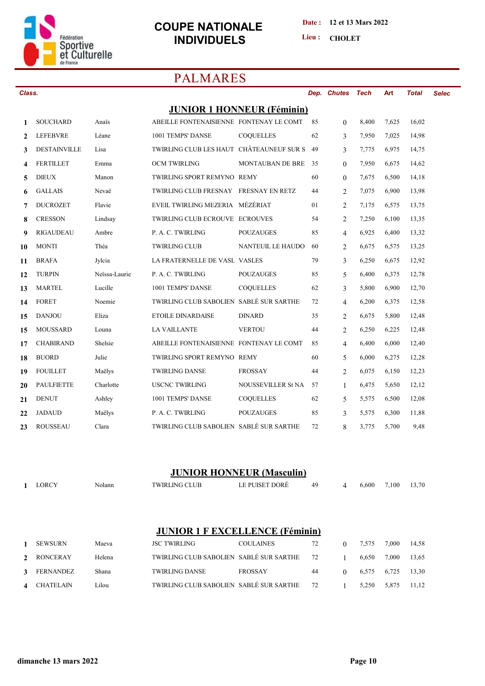

#### Date: 12 et 13 Mars 2022

Lieu: CHOLET

# **PALMARES**

| Class.       |                     |               |                                          |                                   |    | Dep. Chutes    | <b>Tech</b> | Art   | <b>Total</b> | <b>Selec</b> |
|--------------|---------------------|---------------|------------------------------------------|-----------------------------------|----|----------------|-------------|-------|--------------|--------------|
|              |                     |               |                                          | <b>JUNIOR 1 HONNEUR (Féminin)</b> |    |                |             |       |              |              |
| 1            | <b>SOUCHARD</b>     | Anais         | ABEILLE FONTENAISIENNE FONTENAY LE COMT  |                                   | 85 | $\theta$       | 8,400       | 7,625 | 16,02        |              |
| $\mathbf{2}$ | <b>LEFEBVRE</b>     | Léane         | 1001 TEMPS' DANSE                        | <b>COQUELLES</b>                  | 62 | 3              | 7,950       | 7,025 | 14,98        |              |
| 3            | <b>DESTAINVILLE</b> | Lisa          | TWIRLING CLUB LES HAUT CHÂTEAUNEUF SUR S |                                   | 49 | 3              | 7,775       | 6,975 | 14,75        |              |
| 4            | <b>FERTILLET</b>    | Emma          | OCM TWIRLING                             | <b>MONTAUBAN DE BRE</b>           | 35 | $\theta$       | 7,950       | 6,675 | 14,62        |              |
| 5            | <b>DIEUX</b>        | Manon         | TWIRLING SPORT REMYNO REMY               |                                   | 60 | $\theta$       | 7,675       | 6,500 | 14,18        |              |
| 6            | <b>GALLAIS</b>      | Nevaë         | TWIRLING CLUB FRESNAY FRESNAY EN RETZ    |                                   | 44 | 2              | 7,075       | 6,900 | 13,98        |              |
| 7            | <b>DUCROZET</b>     | Flavie        | EVEIL TWIRLING MEZERIA MÉZÉRIAT          |                                   | 01 | 2              | 7,175       | 6,575 | 13,75        |              |
| 8            | <b>CRESSON</b>      | Lindsay       | TWIRLING CLUB ECROUVE ECROUVES           |                                   | 54 | 2              | 7,250       | 6,100 | 13,35        |              |
| 9            | <b>RIGAUDEAU</b>    | Ambre         | P. A. C. TWIRLING                        | <b>POUZAUGES</b>                  | 85 | $\overline{4}$ | 6,925       | 6,400 | 13,32        |              |
| 10           | <b>MONTI</b>        | Théa          | <b>TWIRLING CLUB</b>                     | <b>NANTEUIL LE HAUDO</b>          | 60 | 2              | 6,675       | 6,575 | 13,25        |              |
| 11           | <b>BRAFA</b>        | Jylcia        | LA FRATERNELLE DE VASL VASLES            |                                   | 79 | 3              | 6,250       | 6,675 | 12,92        |              |
| 12           | <b>TURPIN</b>       | Neïssa-Laurie | P. A. C. TWIRLING                        | <b>POUZAUGES</b>                  | 85 | 5              | 6,400       | 6,375 | 12,78        |              |
| 13           | <b>MARTEL</b>       | Lucille       | 1001 TEMPS' DANSE                        | COQUELLES                         | 62 | 3              | 5,800       | 6,900 | 12,70        |              |
| 14           | <b>FORET</b>        | Noemie        | TWIRLING CLUB SABOLIEN SABLÉ SUR SARTHE  |                                   | 72 | $\overline{4}$ | 6,200       | 6,375 | 12,58        |              |
| 15           | <b>DANJOU</b>       | Eliza         | <b>ETOILE DINARDAISE</b>                 | <b>DINARD</b>                     | 35 | 2              | 6,675       | 5,800 | 12,48        |              |
| 15           | <b>MOUSSARD</b>     | Louna         | <b>LA VAILLANTE</b>                      | <b>VERTOU</b>                     | 44 | $\overline{2}$ | 6,250       | 6,225 | 12,48        |              |
| 17           | <b>CHABIRAND</b>    | Shelsie       | ABEILLE FONTENAISIENNE FONTENAY LE COMT  |                                   | 85 | $\overline{4}$ | 6,400       | 6,000 | 12,40        |              |
| 18           | <b>BUORD</b>        | Julie         | TWIRLING SPORT REMYNO REMY               |                                   | 60 | 5              | 6,000       | 6,275 | 12,28        |              |
| 19           | <b>FOUILLET</b>     | Maëlys        | <b>TWIRLING DANSE</b>                    | <b>FROSSAY</b>                    | 44 | 2              | 6,075       | 6,150 | 12,23        |              |
| 20           | <b>PAULFIETTE</b>   | Charlotte     | <b>USCNC TWIRLING</b>                    | <b>NOUSSEVILLER St NA</b>         | 57 | $\mathbf{1}$   | 6,475       | 5,650 | 12,12        |              |
| 21           | <b>DENUT</b>        | Ashley        | 1001 TEMPS' DANSE                        | COQUELLES                         | 62 | 5              | 5,575       | 6,500 | 12,08        |              |
| 22           | <b>JADAUD</b>       | Maëlys        | P. A. C. TWIRLING                        | <b>POUZAUGES</b>                  | 85 | 3              | 5.575       | 6,300 | 11,88        |              |
| 23           | <b>ROUSSEAU</b>     | Clara         | TWIRLING CLUB SABOLIEN SABLÉ SUR SARTHE  |                                   | 72 | 8              | 3,775       | 5,700 | 9,48         |              |

## **JUNIOR HONNEUR (Masculin)**

|               | <b>LORCY</b>     | Nolann | <b>TWIRLING CLUB</b>                    | LE PUISET DORÉ                          | 49 | 4        | 6,600 | 7,100 | 13,70 |
|---------------|------------------|--------|-----------------------------------------|-----------------------------------------|----|----------|-------|-------|-------|
|               |                  |        |                                         |                                         |    |          |       |       |       |
|               |                  |        |                                         |                                         |    |          |       |       |       |
|               |                  |        |                                         |                                         |    |          |       |       |       |
|               |                  |        | <b>JUNIOR 1 F EXCELLENCE (Féminin)</b>  |                                         |    |          |       |       |       |
|               | <b>SEWSURN</b>   | Maeva  | <b>JSC TWIRLING</b>                     | <b>COULAINES</b>                        | 72 | $\theta$ | 7,575 | 7,000 | 14,58 |
| $\mathcal{L}$ | <b>RONCERAY</b>  | Helena | TWIRLING CLUB SABOLIEN SABLÉ SUR SARTHE |                                         | 72 |          | 6,650 | 7,000 | 13,65 |
| 3             | <b>FERNANDEZ</b> | Shana  | <b>TWIRLING DANSE</b>                   | <b>FROSSAY</b>                          | 44 | $\theta$ | 6,575 | 6,725 | 13,30 |
|               |                  |        |                                         | TWIRLING CLUB SABOLIEN SABLÉ SUR SARTHE |    |          |       |       |       |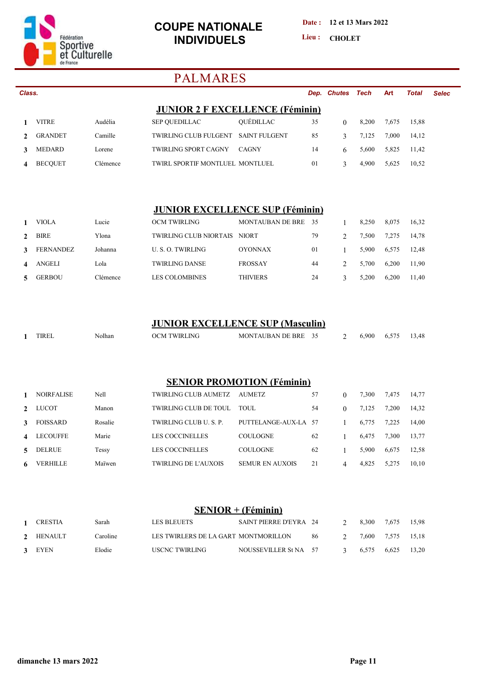

**Date : 12 et 13 Mars 2022**

Lieu : CHOLET

# **PALMARES**

| Class. |                |          |                                        |                      |    | Dep. Chutes Tech |       | <b>Art</b> | <b>Total</b> | Selec |
|--------|----------------|----------|----------------------------------------|----------------------|----|------------------|-------|------------|--------------|-------|
|        |                |          | <b>JUNIOR 2 F EXCELLENCE (Féminin)</b> |                      |    |                  |       |            |              |       |
|        | <b>VITRE</b>   | Audélia  | <b>SEP OUEDILLAC</b>                   | <b>OUEDILLAC</b>     | 35 | 0                | 8.200 | 7.675      | 15,88        |       |
|        | <b>GRANDET</b> | Camille  | TWIRLING CLUB FULGENT                  | <b>SAINT FULGENT</b> | 85 |                  | 7.125 | 7.000      | 14,12        |       |
|        | <b>MEDARD</b>  | Lorene   | <b>TWIRLING SPORT CAGNY</b>            | <b>CAGNY</b>         | 14 | 6                | 5.600 | 5,825      | 11.42        |       |
|        | <b>BECOUET</b> | Clémence | TWIRL SPORTIF MONTLUEL MONTLUEL        |                      | 01 |                  | 4.900 | 5.625      | 10,52        |       |
|        |                |          |                                        |                      |    |                  |       |            |              |       |

#### **JUNIOR EXCELLENCE SUP (Féminin)**

|               | VIOLA            | Lucie    | OCM TWIRLING                  | MONTAUBAN DE BRE 35 |    | 8.250 | 8.075 | 16,32 |
|---------------|------------------|----------|-------------------------------|---------------------|----|-------|-------|-------|
| $\mathcal{L}$ | <b>BIRE</b>      | Ylona    | <b>TWIRLING CLUB NIORTAIS</b> | <b>NIORT</b>        | 79 | 7.500 | 7.275 | 14.78 |
| 3             | <b>FERNANDEZ</b> | Johanna  | U.S.O. TWIRLING               | <b>OYONNAX</b>      | 01 | 5.900 | 6.575 | 12.48 |
| 4             | ANGELI           | Lola     | <b>TWIRLING DANSE</b>         | <b>FROSSAY</b>      | 44 | 5.700 | 6.200 | 11.90 |
| 5.            | <b>GERBOU</b>    | Clémence | LES COLOMBINES                | <b>THIVIERS</b>     | 24 | 5.200 | 6.200 | 11.40 |

#### **JUNIOR EXCELLENCE SUP (Masculin)**

| <b>TIREL</b> | olhan | JNG<br>VIR.<br>OC'<br>vл | <b>TAURAN</b><br><b>MONT</b><br>DE<br><b>BRF</b> | ້.<br>$ -$ | .900 | ر. د | 13,48<br>$\sim$ |
|--------------|-------|--------------------------|--------------------------------------------------|------------|------|------|-----------------|
|              |       |                          |                                                  |            |      |      |                 |

#### **SENIOR PROMOTION (Féminin)**

|                  | NOIRFALISE      | Nell    | TWIRLING CLUB AUMETZ   | <b>AUMETZ</b>          | 57 |   | 7,300 | 7,475 | 14.77 |
|------------------|-----------------|---------|------------------------|------------------------|----|---|-------|-------|-------|
|                  | 2 LUCOT         | Manon   | TWIRLING CLUB DE TOUL  | TOUL.                  | 54 |   | 7.125 | 7.200 | 14.32 |
| $\mathbf{3}$     | FOISSARD        | Rosalie | TWIRLING CLUB U.S. P.  | PUTTELANGE-AUX-LA 57   |    |   | 6.775 | 7.225 | 14.00 |
| $\blacktriangle$ | <b>LECOUFFE</b> | Marie   | LES COCCINELLES        | <b>COULOGNE</b>        | 62 |   | 6.475 | 7.300 | 13.77 |
| 5 <sup>1</sup>   | DELRUE          | Tessy   | <b>LES COCCINELLES</b> | <b>COULOGNE</b>        | 62 |   | 5.900 | 6.675 | 12.58 |
| 6                | VERHILLE        | Maïwen  | TWIRLING DE L'AUXOIS   | <b>SEMUR EN AUXOIS</b> | 21 | 4 | 4.825 | 5,275 | 10.10 |

#### **SENIOR + (Féminin)**

| 1 CRESTIA | Sarah    | LES BLEUETS                          | SAINT PIERRE D'EYRA 24 |     | 8.300 7.675 |                   | 15.98 |
|-----------|----------|--------------------------------------|------------------------|-----|-------------|-------------------|-------|
| 2 HENAULT | Caroline | LES TWIRLERS DE LA GART MONTMORILLON |                        | -86 |             | 7.600 7.575 15.18 |       |
| 3 EYEN    | Elodie   | USCNC TWIRLING                       | NOUSSEVILLER St NA 57  |     | 6.575 6.625 |                   | 13.20 |